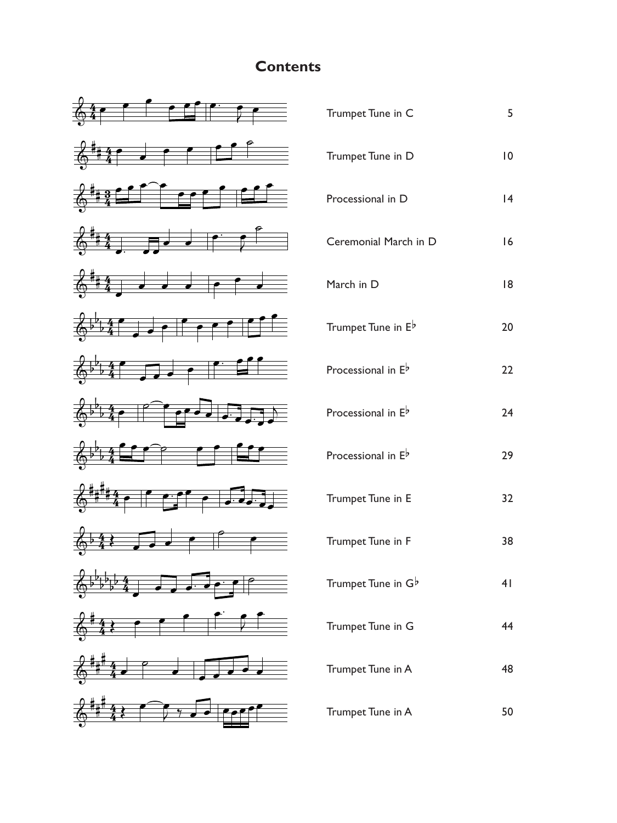### **Contents**



| Trumpet Tune in C              | 5              |
|--------------------------------|----------------|
| Trumpet Tune in D              | $\overline{0}$ |
| Processional in D              | 4              |
| Ceremonial March in D          | 16             |
| March in D                     | 18             |
| Trumpet Tune in Eb             | 20             |
| Processional in E <sup>b</sup> | 22             |
| Processional in Eb             | 24             |
| Processional in Eb             | 29             |
| Trumpet Tune in E              | 32             |
| Trumpet Tune in F              | 38             |
| Trumpet Tune in G <sup>b</sup> | 4 <sub>1</sub> |
| Trumpet Tune in G              | 44             |
| Trumpet Tune in A              | 48             |
| Trumpet Tune in A              | 50             |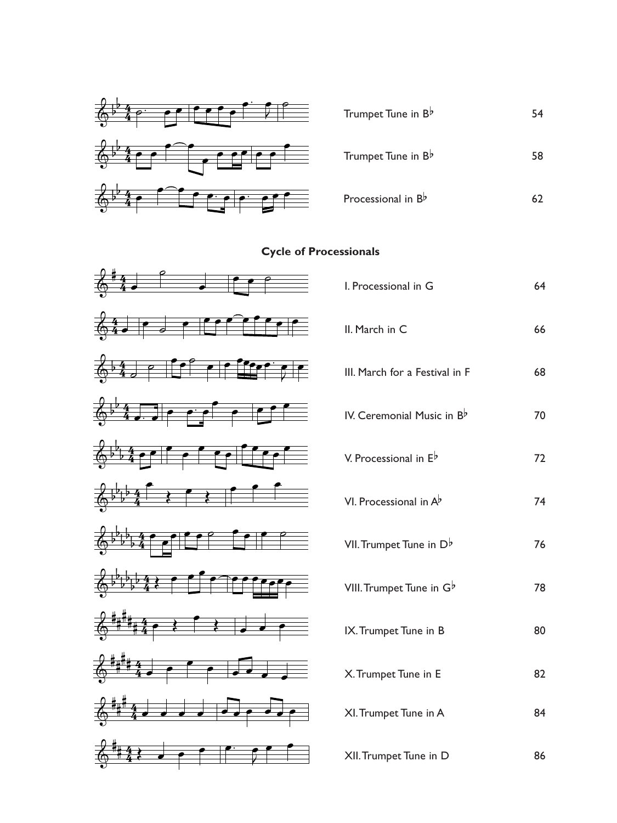

#### **Cycle of Processionals**



| I. Processional in G                   | 64 |
|----------------------------------------|----|
| II. March in C                         | 66 |
| III. March for a Festival in F         | 68 |
| IV. Ceremonial Music in B <sup>b</sup> | 70 |
| V. Processional in Eb                  | 72 |
| VI. Processional in $A^{\flat}$        | 74 |
| VII. Trumpet Tune in D <sup>b</sup>    | 76 |
| VIII. Trumpet Tune in G <sup>b</sup>   | 78 |
| IX. Trumpet Tune in B                  | 80 |
| X. Trumpet Tune in E                   | 82 |
| XI. Trumpet Tune in A                  | 84 |
| XII. Trumpet Tune in D                 | 86 |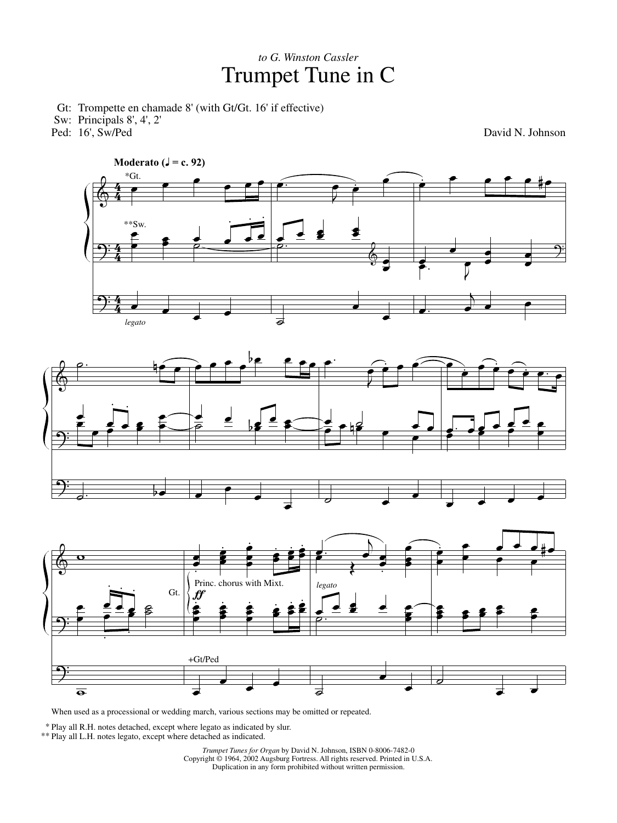### *to G. Winston Cassler* Trumpet Tune in C

Gt: Trompette en chamade 8' (with Gt/Gt. 16' if effective)

Sw: Principals 8', 4', 2'

Ped: 16', Sw/Ped

David N. Johnson







When used as a processional or wedding march, various sections may be omitted or repeated.

Play all R.H. notes detached, except where legato as indicated by slur. \*

Play all L.H. notes legato, except where detached as indicated. \*\*

> *Trumpet Tunes for Organ* by David N. Johnson, ISBN 0-8006-7482-0 Copyright © 1964, 2002 Augsburg Fortress. All rights reserved. Printed in U.S.A. Duplication in any form prohibited without written permission.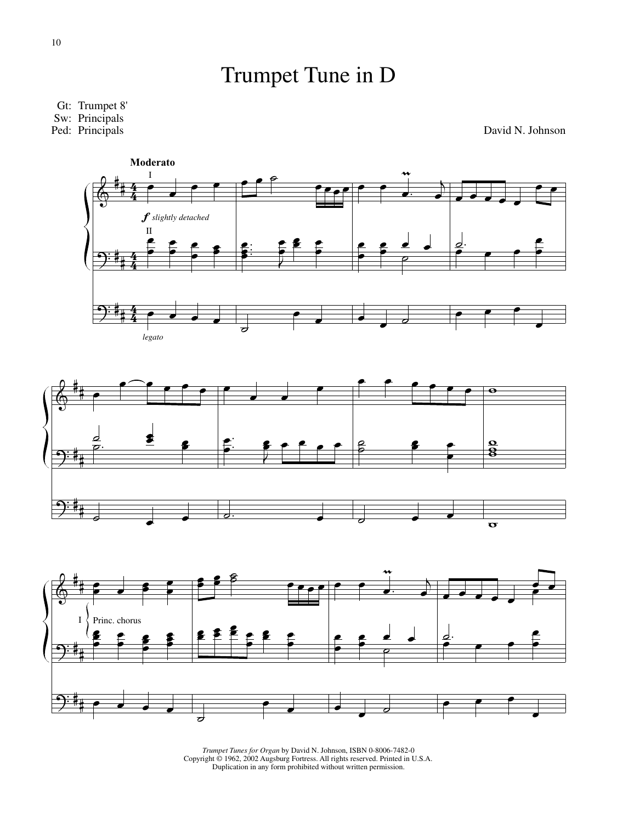

# Trumpet Tune in D

Gt: Trumpet 8' Sw: Principals

Ped: Principals

David N. Johnson

*Trumpet Tunes for Organ* by David N. Johnson, ISBN 0-8006-7482-0 Copyright © 1962, 2002 Augsburg Fortress. All rights reserved. Printed in U.S.A. Duplication in any form prohibited without written permission.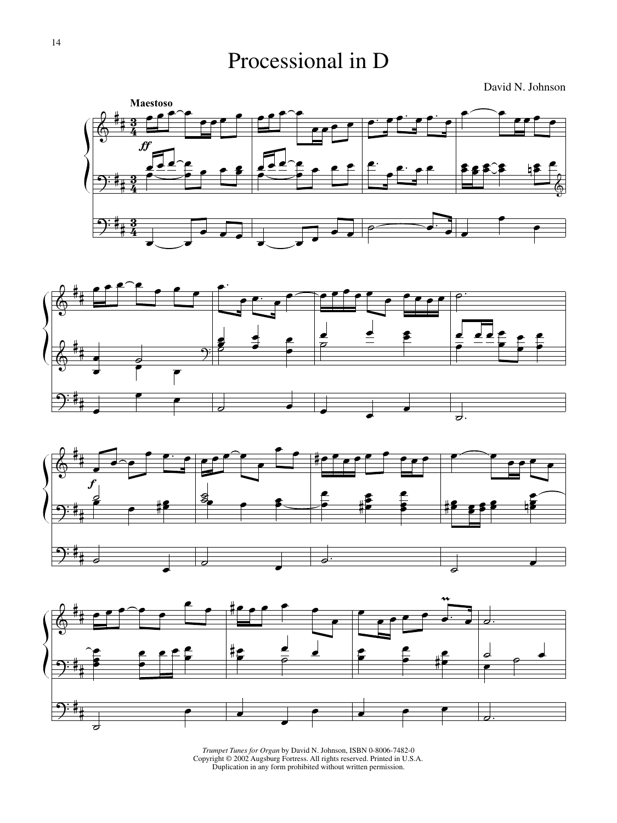Processional in D

David N. Johnson









*Trumpet Tunes for Organ* by David N. Johnson, ISBN 0-8006-7482-0 Copyright © 2002 Augsburg Fortress. All rights reserved. Printed in U.S.A. Duplication in any form prohibited without written permission.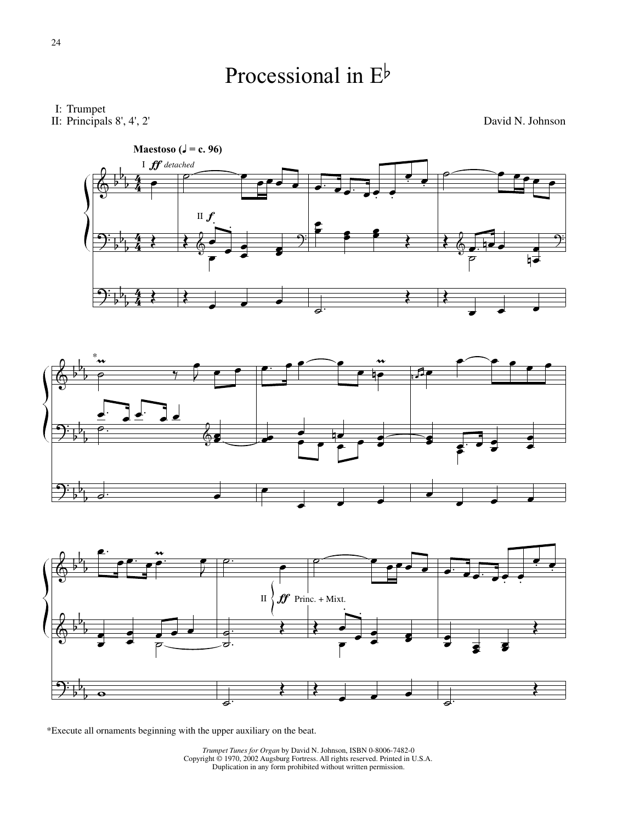

I: Trumpet

II: Principals 8', 4', 2'

David N. Johnson







\*Execute all ornaments beginning with the upper auxiliary on the beat.

*Trumpet Tunes for Organ* by David N. Johnson, ISBN 0-8006-7482-0 Copyright © 1970, 2002 Augsburg Fortress. All rights reserved. Printed in U.S.A. Duplication in any form prohibited without written permission.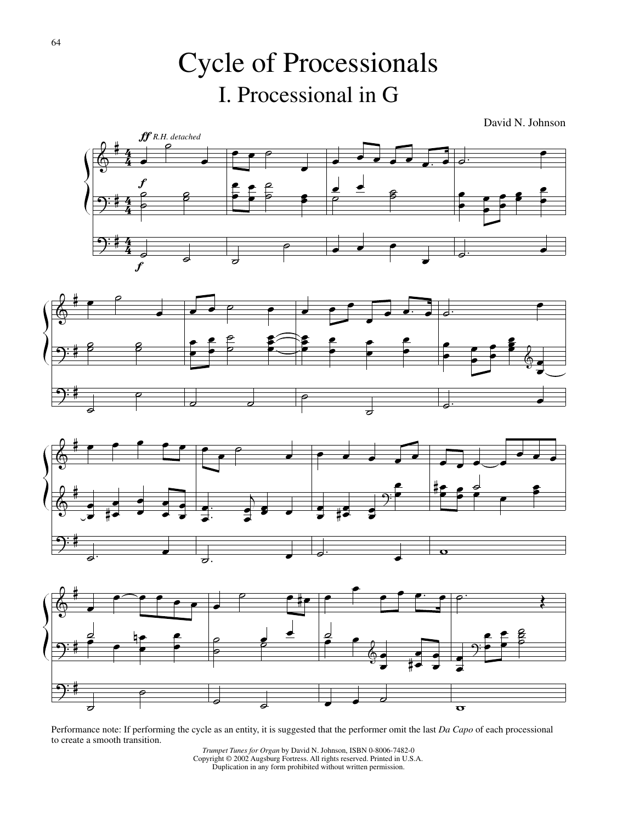Cycle of Processionals I. Processional in G

David N. Johnson









Performance note: If performing the cycle as an entity, it is suggested that the performer omit the last *Da Capo* of each processional to create a smooth transition.

> *Trumpet Tunes for Organ* by David N. Johnson, ISBN 0-8006-7482-0 Copyright © 2002 Augsburg Fortress. All rights reserved. Printed in U.S.A. Duplication in any form prohibited without written permission.